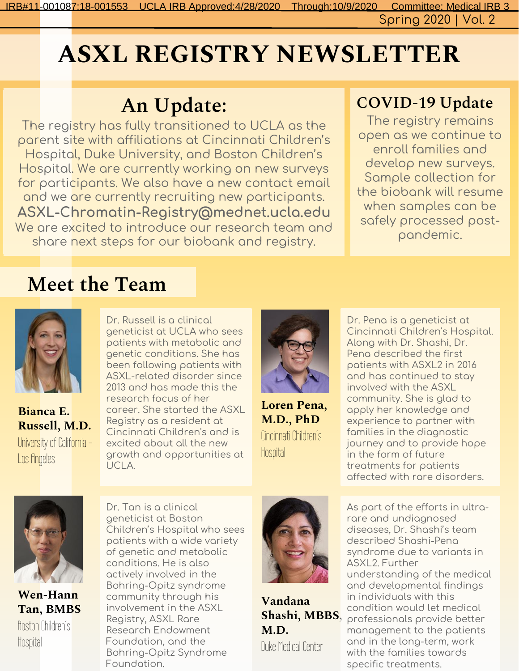Spring 2020 | Vol. 2 IRB#11-001087;18-001553 UCLA IRB Approved:4/28/2020 Through:10/9/2020 Committee: Medical IRB 3

# ASXL REGISTRY NEWSLETTER

## An Update:

The registry has fully transitioned to UCLA as the parent site with affiliations at Cincinnati Children's Hospital, Duke University, and Boston Children's Hospital. We are currently working on new surveys for participants. We also have a new contact email and we are currently recruiting new participants. **ASXL-Chromatin-Registry@mednet.ucla.edu** We are excited to introduce our research team and share next steps for our biobank and registry.

#### COVID-19 Update

The registry remains open as we continue to enroll families and develop new surveys. Sample collection for the biobank will resume when samples can be safely processed postpandemic.

#### Meet the Team



Bianca E. Russell, M.D. University of California - Los fingeles

Dr. Russell is a clinical geneticist at UCLA who sees patients with metabolic and genetic conditions. She has been following patients with ASXL-related disorder since 2013 and has made this the research focus of her career. She started the ASXL Registry as a resident at Cincinnati Children's and is excited about all the new growth and opportunities at UCLA.



Loren Pena, M.D., PhD Cincinnati Children's Hospital

Dr. Pena is a geneticist at Cincinnati Children's Hospital. Along with Dr. Shashi, Dr. Pena described the first patients with ASXL2 in 2016 and has continued to stay involved with the ASXL community. She is glad to apply her knowledge and experience to partner with families in the diagnostic journey and to provide hope in the form of future treatments for patients affected with rare disorders.



Wen-Hann Tan, BMBS Boston Children's **Hospital** 

Dr. Tan is a clinical geneticist at Boston Children's Hospital who sees patients with a wide variety of genetic and metabolic conditions. He is also actively involved in the Bohring-Opitz syndrome community through his involvement in the ASXL Registry, ASXL Rare Research Endowment Foundation, and the Bohring-Opitz Syndrome

Foundation.



Vandana Shashi, MBBS, M.D. Duke Medical Center

As part of the efforts in ultrarare and undiagnosed diseases, Dr. Shashi's team described Shashi-Pena syndrome due to variants in ASXL2. Further understanding of the medical and developmental findings in individuals with this condition would let medical professionals provide better management to the patients and in the long-term, work with the families towards specific treatments.